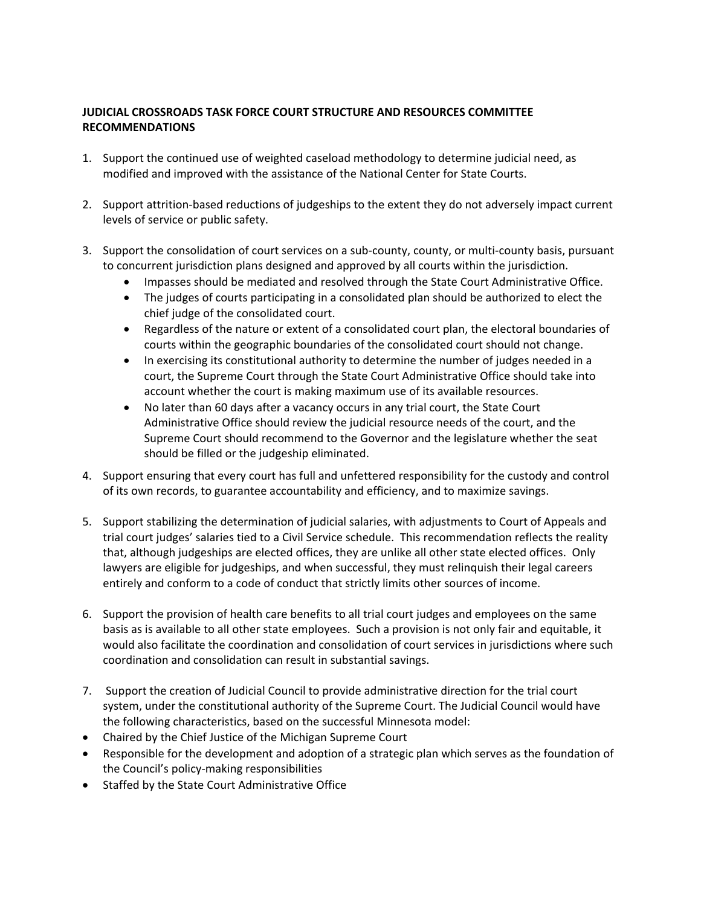## **JUDICIAL CROSSROADS TASK FORCE COURT STRUCTURE AND RESOURCES COMMITTEE RECOMMENDATIONS**

- 1. Support the continued use of weighted caseload methodology to determine judicial need, as modified and improved with the assistance of the National Center for State Courts.
- 2. Support attrition-based reductions of judgeships to the extent they do not adversely impact current levels of service or public safety.
- 3. Support the consolidation of court services on a sub-county, county, or multi-county basis, pursuant to concurrent jurisdiction plans designed and approved by all courts within the jurisdiction.
	- Impasses should be mediated and resolved through the State Court Administrative Office.
	- The judges of courts participating in a consolidated plan should be authorized to elect the chief judge of the consolidated court.
	- Regardless of the nature or extent of a consolidated court plan, the electoral boundaries of courts within the geographic boundaries of the consolidated court should not change.
	- In exercising its constitutional authority to determine the number of judges needed in a court, the Supreme Court through the State Court Administrative Office should take into account whether the court is making maximum use of its available resources.
	- No later than 60 days after a vacancy occurs in any trial court, the State Court Administrative Office should review the judicial resource needs of the court, and the Supreme Court should recommend to the Governor and the legislature whether the seat should be filled or the judgeship eliminated.
- 4. Support ensuring that every court has full and unfettered responsibility for the custody and control of its own records, to guarantee accountability and efficiency, and to maximize savings.
- 5. Support stabilizing the determination of judicial salaries, with adjustments to Court of Appeals and trial court judges' salaries tied to a Civil Service schedule. This recommendation reflects the reality that, although judgeships are elected offices, they are unlike all other state elected offices. Only lawyers are eligible for judgeships, and when successful, they must relinquish their legal careers entirely and conform to a code of conduct that strictly limits other sources of income.
- 6. Support the provision of health care benefits to all trial court judges and employees on the same basis as is available to all other state employees. Such a provision is not only fair and equitable, it would also facilitate the coordination and consolidation of court services in jurisdictions where such coordination and consolidation can result in substantial savings.
- 7. Support the creation of Judicial Council to provide administrative direction for the trial court system, under the constitutional authority of the Supreme Court. The Judicial Council would have the following characteristics, based on the successful Minnesota model:
- Chaired by the Chief Justice of the Michigan Supreme Court
- Responsible for the development and adoption of a strategic plan which serves as the foundation of the Council's policy‐making responsibilities
- Staffed by the State Court Administrative Office